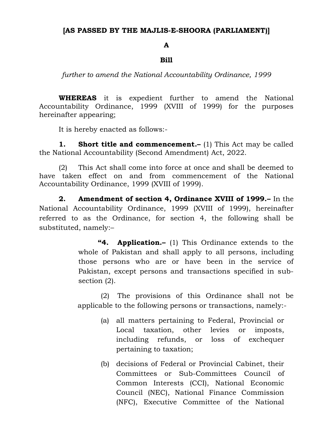## **[AS PASSED BY THE MAJLIS-E-SHOORA (PARLIAMENT)]**

## **A**

## **Bill**

*further to amend the National Accountability Ordinance, 1999*

**WHEREAS** it is expedient further to amend the National Accountability Ordinance, 1999 (XVIII of 1999) for the purposes hereinafter appearing;

It is hereby enacted as follows:-

**1. Short title and commencement.–** (1) This Act may be called the National Accountability (Second Amendment) Act, 2022.

(2) This Act shall come into force at once and shall be deemed to have taken effect on and from commencement of the National Accountability Ordinance, 1999 (XVIII of 1999).

**2. Amendment of section 4, Ordinance XVIII of 1999.–** In the National Accountability Ordinance, 1999 (XVIII of 1999), hereinafter referred to as the Ordinance, for section 4, the following shall be substituted, namely:–

> **"4. Application.–** (1) This Ordinance extends to the whole of Pakistan and shall apply to all persons, including those persons who are or have been in the service of Pakistan, except persons and transactions specified in subsection (2).

> (2) The provisions of this Ordinance shall not be applicable to the following persons or transactions, namely:-

- (a) all matters pertaining to Federal, Provincial or Local taxation, other levies or imposts, including refunds, or loss of exchequer pertaining to taxation;
- (b) decisions of Federal or Provincial Cabinet, their Committees or Sub-Committees Council of Common Interests (CCI), National Economic Council (NEC), National Finance Commission (NFC), Executive Committee of the National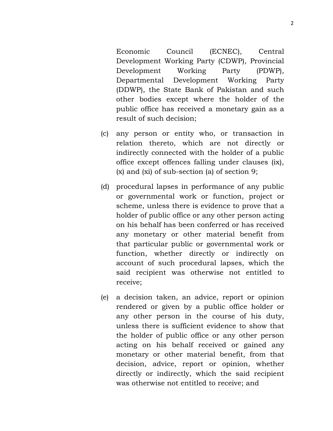Economic Council (ECNEC), Central Development Working Party (CDWP), Provincial Development Working Party (PDWP), Departmental Development Working Party (DDWP), the State Bank of Pakistan and such other bodies except where the holder of the public office has received a monetary gain as a result of such decision;

- (c) any person or entity who, or transaction in relation thereto, which are not directly or indirectly connected with the holder of a public office except offences falling under clauses (ix), (x) and (xi) of sub-section (a) of section 9;
- (d) procedural lapses in performance of any public or governmental work or function, project or scheme, unless there is evidence to prove that a holder of public office or any other person acting on his behalf has been conferred or has received any monetary or other material benefit from that particular public or governmental work or function, whether directly or indirectly on account of such procedural lapses, which the said recipient was otherwise not entitled to receive;
- (e) a decision taken, an advice, report or opinion rendered or given by a public office holder or any other person in the course of his duty, unless there is sufficient evidence to show that the holder of public office or any other person acting on his behalf received or gained any monetary or other material benefit, from that decision, advice, report or opinion, whether directly or indirectly, which the said recipient was otherwise not entitled to receive; and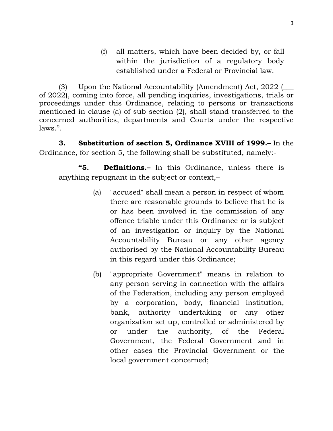(f) all matters, which have been decided by, or fall within the jurisdiction of a regulatory body established under a Federal or Provincial law.

(3) Upon the National Accountability (Amendment) Act, 2022 (\_\_\_ of 2022), coming into force, all pending inquiries, investigations, trials or proceedings under this Ordinance, relating to persons or transactions mentioned in clause (a) of sub-section (2), shall stand transferred to the concerned authorities, departments and Courts under the respective laws.".

**3. Substitution of section 5, Ordinance XVIII of 1999.–** In the Ordinance, for section 5, the following shall be substituted, namely:-

**"5. Definitions.–** In this Ordinance, unless there is anything repugnant in the subject or context,–

- (a) "accused" shall mean a person in respect of whom there are reasonable grounds to believe that he is or has been involved in the commission of any offence triable under this Ordinance or is subject of an investigation or inquiry by the National Accountability Bureau or any other agency authorised by the National Accountability Bureau in this regard under this Ordinance;
- (b) "appropriate Government" means in relation to any person serving in connection with the affairs of the Federation, including any person employed by a corporation, body, financial institution, bank, authority undertaking or any other organization set up, controlled or administered by or under the authority, of the Federal Government, the Federal Government and in other cases the Provincial Government or the local government concerned;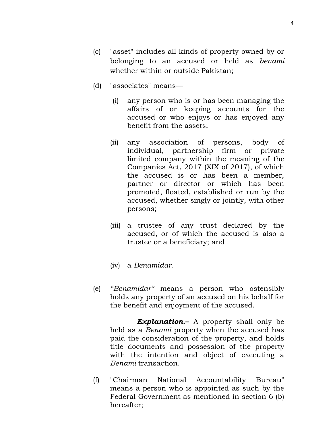- (c) "asset" includes all kinds of property owned by or belonging to an accused or held as *benami* whether within or outside Pakistan;
- (d) "associates" means—
	- (i) any person who is or has been managing the affairs of or keeping accounts for the accused or who enjoys or has enjoyed any benefit from the assets;
	- (ii) any association of persons, body of individual, partnership firm or private limited company within the meaning of the Companies Act, 2017 (XIX of 2017), of which the accused is or has been a member, partner or director or which has been promoted, floated, established or run by the accused, whether singly or jointly, with other persons;
	- (iii) a trustee of any trust declared by the accused, or of which the accused is also a trustee or a beneficiary; and
	- (iv) a *Benamidar*.
- (e) *"Benamidar"* means a person who ostensibly holds any property of an accused on his behalf for the benefit and enjoyment of the accused.

*Explanation***.–** A property shall only be held as a *Benami* property when the accused has paid the consideration of the property, and holds title documents and possession of the property with the intention and object of executing a *Benami* transaction.

(f) "Chairman National Accountability Bureau" means a person who is appointed as such by the Federal Government as mentioned in section 6 (b) hereafter;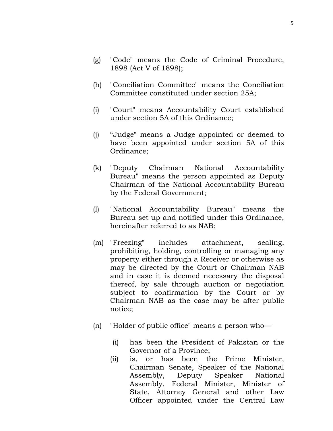- (g) "Code" means the Code of Criminal Procedure, 1898 (Act V of 1898);
- (h) "Conciliation Committee" means the Conciliation Committee constituted under section 25A;
- (i) "Court" means Accountability Court established under section 5A of this Ordinance;
- (j) "Judge" means a Judge appointed or deemed to have been appointed under section 5A of this Ordinance;
- (k) "Deputy Chairman National Accountability Bureau" means the person appointed as Deputy Chairman of the National Accountability Bureau by the Federal Government;
- (l) "National Accountability Bureau" means the Bureau set up and notified under this Ordinance, hereinafter referred to as NAB;
- (m) "Freezing" includes attachment, sealing, prohibiting, holding, controlling or managing any property either through a Receiver or otherwise as may be directed by the Court or Chairman NAB and in case it is deemed necessary the disposal thereof, by sale through auction or negotiation subject to confirmation by the Court or by Chairman NAB as the case may be after public notice;
- (n) "Holder of public office" means a person who—
	- (i) has been the President of Pakistan or the Governor of a Province;
	- (ii) is, or has been the Prime Minister, Chairman Senate, Speaker of the National Assembly, Deputy Speaker National Assembly, Federal Minister, Minister of State, Attorney General and other Law Officer appointed under the Central Law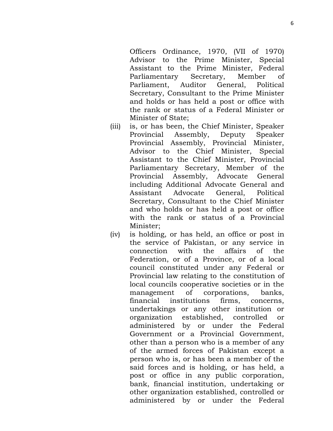Officers Ordinance, 1970, (VII of 1970) Advisor to the Prime Minister, Special Assistant to the Prime Minister, Federal Parliamentary Secretary, Member of Parliament, Auditor General, Political Secretary, Consultant to the Prime Minister and holds or has held a post or office with the rank or status of a Federal Minister or Minister of State;

- (iii) is, or has been, the Chief Minister, Speaker Provincial Assembly, Deputy Speaker Provincial Assembly, Provincial Minister, Advisor to the Chief Minister, Special Assistant to the Chief Minister, Provincial Parliamentary Secretary, Member of the Provincial Assembly, Advocate General including Additional Advocate General and Assistant Advocate General, Political Secretary, Consultant to the Chief Minister and who holds or has held a post or office with the rank or status of a Provincial Minister;
- (iv) is holding, or has held, an office or post in the service of Pakistan, or any service in connection with the affairs of the Federation, or of a Province, or of a local council constituted under any Federal or Provincial law relating to the constitution of local councils cooperative societies or in the management of corporations, banks, financial institutions firms, concerns, undertakings or any other institution or organization established, controlled or administered by or under the Federal Government or a Provincial Government, other than a person who is a member of any of the armed forces of Pakistan except a person who is, or has been a member of the said forces and is holding, or has held, a post or office in any public corporation, bank, financial institution, undertaking or other organization established, controlled or administered by or under the Federal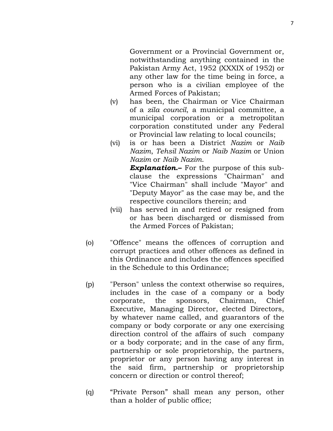Government or a Provincial Government or, notwithstanding anything contained in the Pakistan Army Act, 1952 (XXXIX of 1952) or any other law for the time being in force, a person who is a civilian employee of the Armed Forces of Pakistan;

- (v) has been, the Chairman or Vice Chairman of a *zila council*, a municipal committee, a municipal corporation or a metropolitan corporation constituted under any Federal or Provincial law relating to local councils;
- (vi) is or has been a District *Nazim* or *Naib Nazim*, *Tehsil Nazim* or *Naib Nazim* or Union *Nazim* or *Naib Nazim*.

*Explanation***.–** For the purpose of this subclause the expressions "Chairman" and "Vice Chairman" shall include "Mayor" and "Deputy Mayor" as the case may be, and the respective councilors therein; and

- (vii) has served in and retired or resigned from or has been discharged or dismissed from the Armed Forces of Pakistan;
- (o) "Offence" means the offences of corruption and corrupt practices and other offences as defined in this Ordinance and includes the offences specified in the Schedule to this Ordinance;
- (p) "Person" unless the context otherwise so requires, includes in the case of a company or a body corporate, the sponsors, Chairman, Chief Executive, Managing Director, elected Directors, by whatever name called, and guarantors of the company or body corporate or any one exercising direction control of the affairs of such company or a body corporate; and in the case of any firm, partnership or sole proprietorship, the partners, proprietor or any person having any interest in the said firm, partnership or proprietorship concern or direction or control thereof;
- (q) "Private Person" shall mean any person, other than a holder of public office;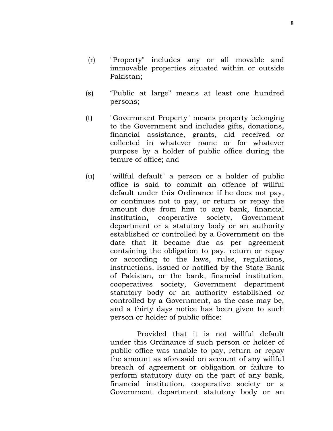- (r) "Property" includes any or all movable and immovable properties situated within or outside Pakistan;
- (s) "Public at large" means at least one hundred persons;
- (t) "Government Property" means property belonging to the Government and includes gifts, donations, financial assistance, grants, aid received or collected in whatever name or for whatever purpose by a holder of public office during the tenure of office; and
- (u) "willful default" a person or a holder of public office is said to commit an offence of willful default under this Ordinance if he does not pay, or continues not to pay, or return or repay the amount due from him to any bank, financial institution, cooperative society, Government department or a statutory body or an authority established or controlled by a Government on the date that it became due as per agreement containing the obligation to pay, return or repay or according to the laws, rules, regulations, instructions, issued or notified by the State Bank of Pakistan, or the bank, financial institution, cooperatives society, Government department statutory body or an authority established or controlled by a Government, as the case may be, and a thirty days notice has been given to such person or holder of public office:

Provided that it is not willful default under this Ordinance if such person or holder of public office was unable to pay, return or repay the amount as aforesaid on account of any willful breach of agreement or obligation or failure to perform statutory duty on the part of any bank, financial institution, cooperative society or a Government department statutory body or an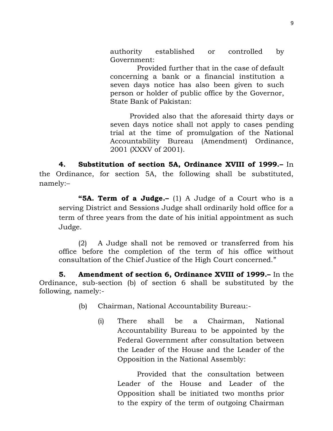authority established or controlled by Government:

Provided further that in the case of default concerning a bank or a financial institution a seven days notice has also been given to such person or holder of public office by the Governor, State Bank of Pakistan:

Provided also that the aforesaid thirty days or seven days notice shall not apply to cases pending trial at the time of promulgation of the National Accountability Bureau (Amendment) Ordinance, 2001 (XXXV of 2001).

**4. Substitution of section 5A, Ordinance XVIII of 1999.–** In the Ordinance, for section 5A, the following shall be substituted, namely:–

**"5A. Term of a Judge.–** (1) A Judge of a Court who is a serving District and Sessions Judge shall ordinarily hold office for a term of three years from the date of his initial appointment as such Judge.

(2) A Judge shall not be removed or transferred from his office before the completion of the term of his office without consultation of the Chief Justice of the High Court concerned."

**5. Amendment of section 6, Ordinance XVIII of 1999.–** In the Ordinance, sub-section (b) of section 6 shall be substituted by the following, namely:-

- (b) Chairman, National Accountability Bureau:-
	- (i) There shall be a Chairman, National Accountability Bureau to be appointed by the Federal Government after consultation between the Leader of the House and the Leader of the Opposition in the National Assembly:

Provided that the consultation between Leader of the House and Leader of the Opposition shall be initiated two months prior to the expiry of the term of outgoing Chairman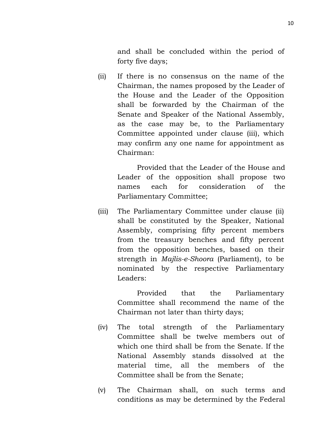and shall be concluded within the period of forty five days;

(ii) If there is no consensus on the name of the Chairman, the names proposed by the Leader of the House and the Leader of the Opposition shall be forwarded by the Chairman of the Senate and Speaker of the National Assembly, as the case may be, to the Parliamentary Committee appointed under clause (iii), which may confirm any one name for appointment as Chairman:

> Provided that the Leader of the House and Leader of the opposition shall propose two names each for consideration of the Parliamentary Committee;

(iii) The Parliamentary Committee under clause (ii) shall be constituted by the Speaker, National Assembly, comprising fifty percent members from the treasury benches and fifty percent from the opposition benches, based on their strength in *Majlis-e-Shoora* (Parliament), to be nominated by the respective Parliamentary Leaders:

> Provided that the Parliamentary Committee shall recommend the name of the Chairman not later than thirty days;

- (iv) The total strength of the Parliamentary Committee shall be twelve members out of which one third shall be from the Senate. If the National Assembly stands dissolved at the material time, all the members of the Committee shall be from the Senate;
- (v) The Chairman shall, on such terms and conditions as may be determined by the Federal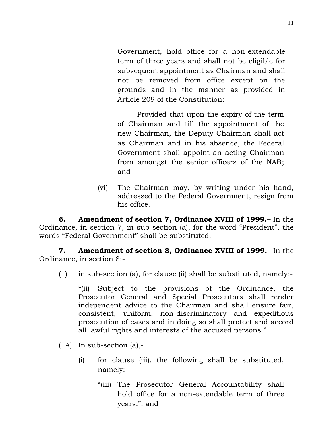Government, hold office for a non-extendable term of three years and shall not be eligible for subsequent appointment as Chairman and shall not be removed from office except on the grounds and in the manner as provided in Article 209 of the Constitution:

Provided that upon the expiry of the term of Chairman and till the appointment of the new Chairman, the Deputy Chairman shall act as Chairman and in his absence, the Federal Government shall appoint an acting Chairman from amongst the senior officers of the NAB; and

(vi) The Chairman may, by writing under his hand, addressed to the Federal Government, resign from his office.

**6. Amendment of section 7, Ordinance XVIII of 1999.–** In the Ordinance, in section 7, in sub-section (a), for the word "President", the words "Federal Government" shall be substituted.

**7. Amendment of section 8, Ordinance XVIII of 1999.–** In the Ordinance, in section 8:-

(1) in sub-section (a), for clause (ii) shall be substituted, namely:-

"(ii) Subject to the provisions of the Ordinance, the Prosecutor General and Special Prosecutors shall render independent advice to the Chairman and shall ensure fair, consistent, uniform, non-discriminatory and expeditious prosecution of cases and in doing so shall protect and accord all lawful rights and interests of the accused persons."

- (1A) In sub-section (a),-
	- (i) for clause (iii), the following shall be substituted, namely:–
		- "(iii) The Prosecutor General Accountability shall hold office for a non-extendable term of three years."; and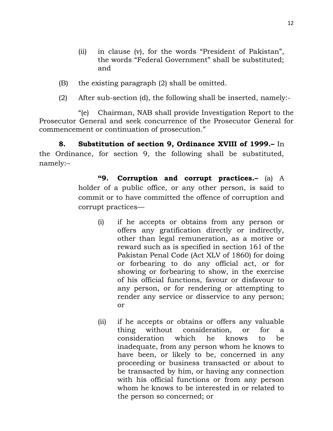- (ii) in clause (v), for the words "President of Pakistan", the words "Federal Government" shall be substituted; and
- (B) the existing paragraph (2) shall be omitted.
- (2) After sub-section (d), the following shall be inserted, namely:-

"(e) Chairman, NAB shall provide Investigation Report to the Prosecutor General and seek concurrence of the Prosecutor General for commencement or continuation of prosecution."

**8. Substitution of section 9, Ordinance XVIII of 1999.–** In the Ordinance, for section 9, the following shall be substituted, namely:–

> **"9. Corruption and corrupt practices.–** (a) A holder of a public office, or any other person, is said to commit or to have committed the offence of corruption and corrupt practices—

- (i) if he accepts or obtains from any person or offers any gratification directly or indirectly, other than legal remuneration, as a motive or reward such as is specified in section 161 of the Pakistan Penal Code (Act XLV of 1860) for doing or forbearing to do any official act, or for showing or forbearing to show, in the exercise of his official functions, favour or disfavour to any person, or for rendering or attempting to render any service or disservice to any person; or
- (ii) if he accepts or obtains or offers any valuable thing without consideration, or for a consideration which he knows to be inadequate, from any person whom he knows to have been, or likely to be, concerned in any proceeding or business transacted or about to be transacted by him, or having any connection with his official functions or from any person whom he knows to be interested in or related to the person so concerned; or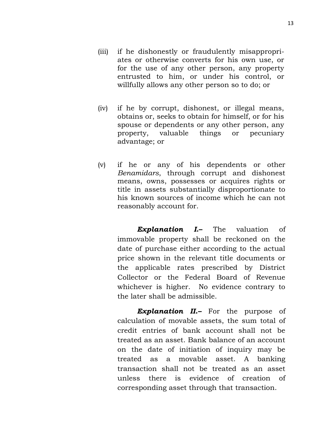(iv) if he by corrupt, dishonest, or illegal means, obtains or, seeks to obtain for himself, or for his spouse or dependents or any other person, any property, valuable things or pecuniary advantage; or

willfully allows any other person so to do; or

(v) if he or any of his dependents or other *Benamidars*, through corrupt and dishonest means, owns, possesses or acquires rights or title in assets substantially disproportionate to his known sources of income which he can not reasonably account for.

> *Explanation I***.–** The valuation of immovable property shall be reckoned on the date of purchase either according to the actual price shown in the relevant title documents or the applicable rates prescribed by District Collector or the Federal Board of Revenue whichever is higher. No evidence contrary to the later shall be admissible.

> *Explanation II.–* For the purpose of calculation of movable assets, the sum total of credit entries of bank account shall not be treated as an asset. Bank balance of an account on the date of initiation of inquiry may be treated as a movable asset. A banking transaction shall not be treated as an asset unless there is evidence of creation of corresponding asset through that transaction.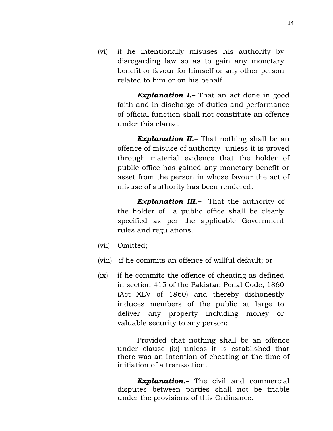(vi) if he intentionally misuses his authority by disregarding law so as to gain any monetary benefit or favour for himself or any other person related to him or on his behalf.

> *Explanation I.–* That an act done in good faith and in discharge of duties and performance of official function shall not constitute an offence under this clause.

> *Explanation II.–* That nothing shall be an offence of misuse of authority unless it is proved through material evidence that the holder of public office has gained any monetary benefit or asset from the person in whose favour the act of misuse of authority has been rendered.

*Explanation III.–* That the authority of the holder of a public office shall be clearly specified as per the applicable Government rules and regulations.

- (vii) Omitted;
- (viii) if he commits an offence of willful default; or
- (ix) if he commits the offence of cheating as defined in section 415 of the Pakistan Penal Code, 1860 (Act XLV of 1860) and thereby dishonestly induces members of the public at large to deliver any property including money or valuable security to any person:

Provided that nothing shall be an offence under clause (ix) unless it is established that there was an intention of cheating at the time of initiation of a transaction.

*Explanation.–* The civil and commercial disputes between parties shall not be triable under the provisions of this Ordinance.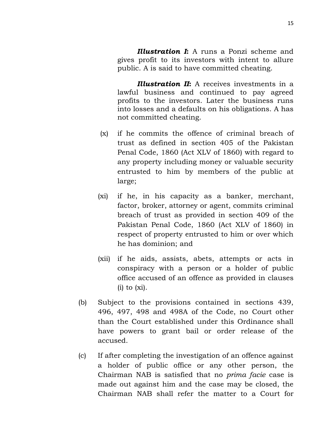*Illustration I***:** A runs a Ponzi scheme and gives profit to its investors with intent to allure public. A is said to have committed cheating.

*Illustration II***:** A receives investments in a lawful business and continued to pay agreed profits to the investors. Later the business runs into losses and a defaults on his obligations. A has not committed cheating.

- (x) if he commits the offence of criminal breach of trust as defined in section 405 of the Pakistan Penal Code, 1860 (Act XLV of 1860) with regard to any property including money or valuable security entrusted to him by members of the public at large;
- (xi) if he, in his capacity as a banker, merchant, factor, broker, attorney or agent, commits criminal breach of trust as provided in section 409 of the Pakistan Penal Code, 1860 (Act XLV of 1860) in respect of property entrusted to him or over which he has dominion; and
- (xii) if he aids, assists, abets, attempts or acts in conspiracy with a person or a holder of public office accused of an offence as provided in clauses  $(i)$  to  $(xi)$ .
- (b) Subject to the provisions contained in sections 439, 496, 497, 498 and 498A of the Code, no Court other than the Court established under this Ordinance shall have powers to grant bail or order release of the accused.
- (c) If after completing the investigation of an offence against a holder of public office or any other person, the Chairman NAB is satisfied that no *prima facie* case is made out against him and the case may be closed, the Chairman NAB shall refer the matter to a Court for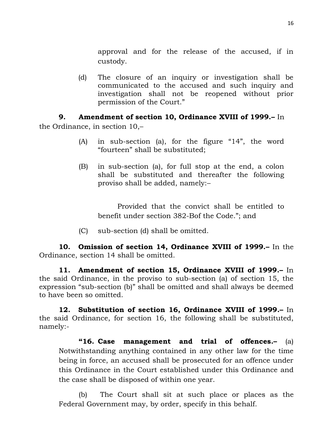approval and for the release of the accused, if in custody.

(d) The closure of an inquiry or investigation shall be communicated to the accused and such inquiry and investigation shall not be reopened without prior permission of the Court."

## **9. Amendment of section 10, Ordinance XVIII of 1999.–** In

the Ordinance, in section 10,–

- (A) in sub-section (a), for the figure "14", the word "fourteen" shall be substituted;
- (B) in sub-section (a), for full stop at the end, a colon shall be substituted and thereafter the following proviso shall be added, namely:–

Provided that the convict shall be entitled to benefit under section 382-Bof the Code."; and

(C) sub-section (d) shall be omitted.

**10. Omission of section 14, Ordinance XVIII of 1999.–** In the Ordinance, section 14 shall be omitted.

**11. Amendment of section 15, Ordinance XVIII of 1999.–** In the said Ordinance, in the proviso to sub-section (a) of section 15, the expression "sub-section (b)" shall be omitted and shall always be deemed to have been so omitted.

**12. Substitution of section 16, Ordinance XVIII of 1999.–** In the said Ordinance, for section 16, the following shall be substituted, namely:-

**"16. Case management and trial of offences.–** (a) Notwithstanding anything contained in any other law for the time being in force, an accused shall be prosecuted for an offence under this Ordinance in the Court established under this Ordinance and the case shall be disposed of within one year.

(b) The Court shall sit at such place or places as the Federal Government may, by order, specify in this behalf.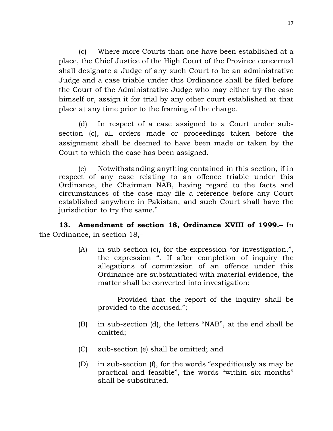(c) Where more Courts than one have been established at a place, the Chief Justice of the High Court of the Province concerned shall designate a Judge of any such Court to be an administrative Judge and a case triable under this Ordinance shall be filed before the Court of the Administrative Judge who may either try the case himself or, assign it for trial by any other court established at that place at any time prior to the framing of the charge.

(d) In respect of a case assigned to a Court under subsection (c), all orders made or proceedings taken before the assignment shall be deemed to have been made or taken by the Court to which the case has been assigned.

(e) Notwithstanding anything contained in this section, if in respect of any case relating to an offence triable under this Ordinance, the Chairman NAB, having regard to the facts and circumstances of the case may file a reference before any Court established anywhere in Pakistan, and such Court shall have the jurisdiction to try the same."

**13. Amendment of section 18, Ordinance XVIII of 1999.–** In the Ordinance, in section 18,–

> (A) in sub-section (c), for the expression "or investigation.", the expression ". If after completion of inquiry the allegations of commission of an offence under this Ordinance are substantiated with material evidence, the matter shall be converted into investigation:

Provided that the report of the inquiry shall be provided to the accused.";

- (B) in sub-section (d), the letters "NAB", at the end shall be omitted;
- (C) sub-section (e) shall be omitted; and
- (D) in sub-section (f), for the words "expeditiously as may be practical and feasible", the words "within six months" shall be substituted.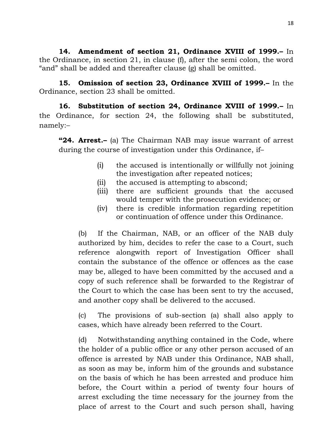**14. Amendment of section 21, Ordinance XVIII of 1999.–** In the Ordinance, in section 21, in clause (f), after the semi colon, the word "and" shall be added and thereafter clause (g) shall be omitted.

**15. Omission of section 23, Ordinance XVIII of 1999.–** In the Ordinance, section 23 shall be omitted.

**16. Substitution of section 24, Ordinance XVIII of 1999.–** In the Ordinance, for section 24, the following shall be substituted, namely:–

**"24. Arrest.–** (a) The Chairman NAB may issue warrant of arrest during the course of investigation under this Ordinance, if–

- (i) the accused is intentionally or willfully not joining the investigation after repeated notices;
- (ii) the accused is attempting to abscond;
- (iii) there are sufficient grounds that the accused would temper with the prosecution evidence; or
- (iv) there is credible information regarding repetition or continuation of offence under this Ordinance.

(b) If the Chairman, NAB, or an officer of the NAB duly authorized by him, decides to refer the case to a Court, such reference alongwith report of Investigation Officer shall contain the substance of the offence or offences as the case may be, alleged to have been committed by the accused and a copy of such reference shall be forwarded to the Registrar of the Court to which the case has been sent to try the accused, and another copy shall be delivered to the accused.

(c) The provisions of sub-section (a) shall also apply to cases, which have already been referred to the Court.

(d) Notwithstanding anything contained in the Code, where the holder of a public office or any other person accused of an offence is arrested by NAB under this Ordinance, NAB shall, as soon as may be, inform him of the grounds and substance on the basis of which he has been arrested and produce him before, the Court within a period of twenty four hours of arrest excluding the time necessary for the journey from the place of arrest to the Court and such person shall, having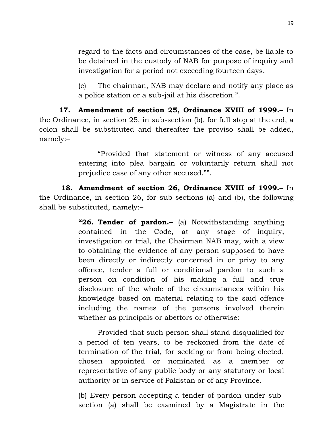regard to the facts and circumstances of the case, be liable to be detained in the custody of NAB for purpose of inquiry and investigation for a period not exceeding fourteen days.

(e) The chairman, NAB may declare and notify any place as a police station or a sub-jail at his discretion.".

**17. Amendment of section 25, Ordinance XVIII of 1999.–** In the Ordinance, in section 25, in sub-section (b), for full stop at the end, a colon shall be substituted and thereafter the proviso shall be added, namely:–

> "Provided that statement or witness of any accused entering into plea bargain or voluntarily return shall not prejudice case of any other accused."".

**18. Amendment of section 26, Ordinance XVIII of 1999.–** In the Ordinance, in section 26, for sub-sections (a) and (b), the following shall be substituted, namely:–

> **"26. Tender of pardon.–** (a) Notwithstanding anything contained in the Code, at any stage of inquiry, investigation or trial, the Chairman NAB may, with a view to obtaining the evidence of any person supposed to have been directly or indirectly concerned in or privy to any offence, tender a full or conditional pardon to such a person on condition of his making a full and true disclosure of the whole of the circumstances within his knowledge based on material relating to the said offence including the names of the persons involved therein whether as principals or abettors or otherwise:

> Provided that such person shall stand disqualified for a period of ten years, to be reckoned from the date of termination of the trial, for seeking or from being elected, chosen appointed or nominated as a member or representative of any public body or any statutory or local authority or in service of Pakistan or of any Province.

> (b) Every person accepting a tender of pardon under subsection (a) shall be examined by a Magistrate in the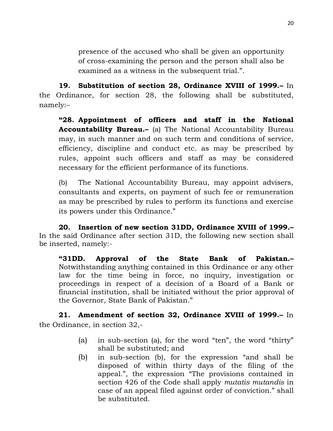presence of the accused who shall be given an opportunity of cross-examining the person and the person shall also be examined as a witness in the subsequent trial.".

**19. Substitution of section 28, Ordinance XVIII of 1999.–** In the Ordinance, for section 28, the following shall be substituted, namely:–

**"28. Appointment of officers and staff in the National Accountability Bureau.–** (a) The National Accountability Bureau may, in such manner and on such term and conditions of service, efficiency, discipline and conduct etc. as may be prescribed by rules, appoint such officers and staff as may be considered necessary for the efficient performance of its functions.

(b) The National Accountability Bureau, may appoint advisers, consultants and experts, on payment of such fee or remuneration as may be prescribed by rules to perform its functions and exercise its powers under this Ordinance."

**20. Insertion of new section 31DD, Ordinance XVIII of 1999.–** In the said Ordinance after section 31D, the following new section shall be inserted, namely:-

**"31DD. Approval of the State Bank of Pakistan.–** Notwithstanding anything contained in this Ordinance or any other law for the time being in force, no inquiry, investigation or proceedings in respect of a decision of a Board of a Bank or financial institution, shall be initiated without the prior approval of the Governor, State Bank of Pakistan."

**21. Amendment of section 32, Ordinance XVIII of 1999.–** In the Ordinance, in section 32,-

- (a) in sub-section (a), for the word "ten", the word "thirty" shall be substituted; and
- (b) in sub-section (b), for the expression "and shall be disposed of within thirty days of the filing of the appeal.", the expression "The provisions contained in section 426 of the Code shall apply *mutatis mutandis* in case of an appeal filed against order of conviction." shall be substituted.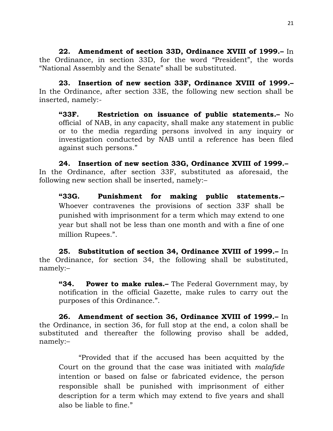**22. Amendment of section 33D, Ordinance XVIII of 1999.–** In the Ordinance, in section 33D, for the word "President", the words "National Assembly and the Senate" shall be substituted.

**23. Insertion of new section 33F, Ordinance XVIII of 1999.–** In the Ordinance, after section 33E, the following new section shall be inserted, namely:-

**"33F. Restriction on issuance of public statements.–** No official of NAB, in any capacity, shall make any statement in public or to the media regarding persons involved in any inquiry or investigation conducted by NAB until a reference has been filed against such persons."

**24. Insertion of new section 33G, Ordinance XVIII of 1999.–** In the Ordinance, after section 33F, substituted as aforesaid, the following new section shall be inserted, namely:–

**"33G. Punishment for making public statements.–** Whoever contravenes the provisions of section 33F shall be punished with imprisonment for a term which may extend to one year but shall not be less than one month and with a fine of one million Rupees.".

**25. Substitution of section 34, Ordinance XVIII of 1999.–** In the Ordinance, for section 34, the following shall be substituted, namely:–

**"34. Power to make rules.–** The Federal Government may, by notification in the official Gazette, make rules to carry out the purposes of this Ordinance.".

**26. Amendment of section 36, Ordinance XVIII of 1999.–** In the Ordinance, in section 36, for full stop at the end, a colon shall be substituted and thereafter the following proviso shall be added, namely:–

"Provided that if the accused has been acquitted by the Court on the ground that the case was initiated with *malafide* intention or based on false or fabricated evidence, the person responsible shall be punished with imprisonment of either description for a term which may extend to five years and shall also be liable to fine."